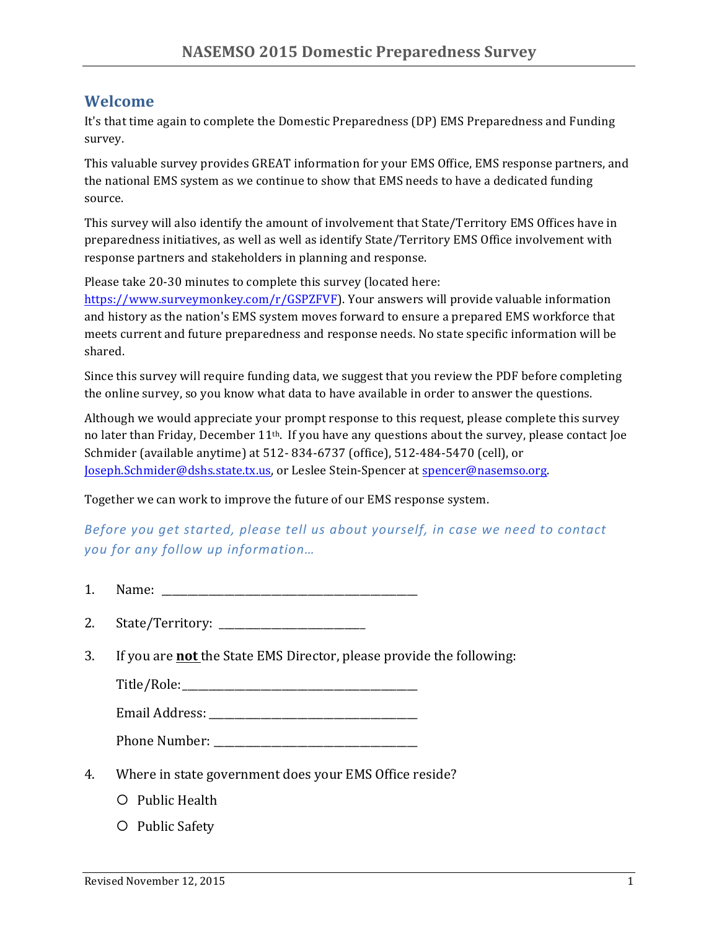### **Welcome**

It's that time again to complete the Domestic Preparedness (DP) EMS Preparedness and Funding survey. 

This valuable survey provides GREAT information for your EMS Office, EMS response partners, and the national EMS system as we continue to show that EMS needs to have a dedicated funding source. 

This survey will also identify the amount of involvement that State/Territory EMS Offices have in preparedness initiatives, as well as well as identify State/Territory EMS Office involvement with response partners and stakeholders in planning and response.

Please take 20-30 minutes to complete this survey (located here:

https://www.surveymonkey.com/r/GSPZFVF). Your answers will provide valuable information and history as the nation's EMS system moves forward to ensure a prepared EMS workforce that meets current and future preparedness and response needs. No state specific information will be shared.

Since this survey will require funding data, we suggest that you review the PDF before completing the online survey, so you know what data to have available in order to answer the questions.

Although we would appreciate your prompt response to this request, please complete this survey no later than Friday, December  $11^{th}$ . If you have any questions about the survey, please contact Joe Schmider (available anytime) at 512-834-6737 (office), 512-484-5470 (cell), or Joseph.Schmider@dshs.state.tx.us, or Leslee Stein-Spencer at spencer@nasemso.org.

Together we can work to improve the future of our EMS response system.

*Before* you get started, please tell us about yourself, in case we need to contact *you for any follow up information…*

- 1. Name:
- 2. State/Territory: \_\_\_\_\_\_\_\_\_\_\_\_\_\_\_\_\_\_\_\_\_\_\_\_\_\_\_\_
- 3. If you are **not** the State EMS Director, please provide the following:

Title/Role:\_\_\_\_\_\_\_\_\_\_\_\_\_\_\_\_\_\_\_\_\_\_\_\_\_\_\_\_\_\_\_\_\_\_\_\_\_\_\_\_\_\_\_\_\_

Email Address:

Phone Number: \_\_\_\_\_\_\_\_\_\_\_\_\_\_\_\_\_\_\_\_\_\_\_\_\_\_\_\_\_\_\_\_\_\_\_\_\_\_\_

- 4. Where in state government does your EMS Office reside?
	- $O$  Public Health
	- O Public Safety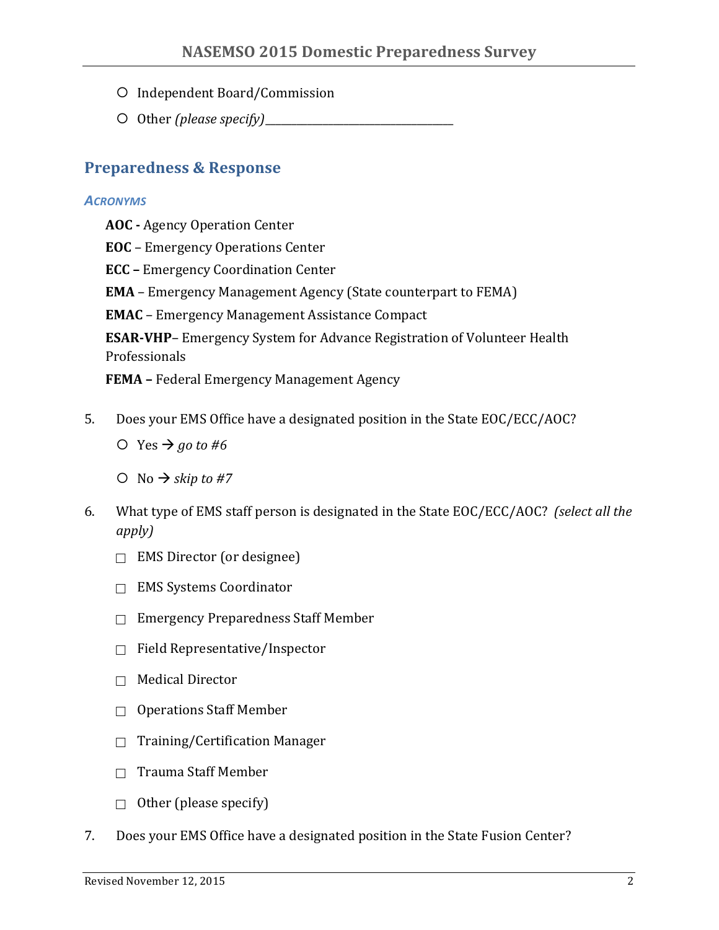- O Independent Board/Commission
- O Other *(please specify)*

## **Preparedness & Response**

#### *ACRONYMS*

- **AOC** Agency Operation Center
- **EOC** Emergency Operations Center
- **ECC** Emergency Coordination Center
- **EMA** Emergency Management Agency (State counterpart to FEMA)
- **EMAC** Emergency Management Assistance Compact

**ESAR-VHP**– Emergency System for Advance Registration of Volunteer Health Professionals

**FEMA** – Federal Emergency Management Agency

- 5. Does your EMS Office have a designated position in the State EOC/ECC/AOC?
	- $\bigcirc$  Yes  $\rightarrow$  *go* to #6
	- $\bigcirc$  No  $\rightarrow$  *skip* to #7
- 6. What type of EMS staff person is designated in the State EOC/ECC/AOC? *(select all the apply)*
	- $\Box$  EMS Director (or designee)
	- $\Box$  EMS Systems Coordinator
	- $\Box$  Emergency Preparedness Staff Member
	- $\Box$  Field Representative/Inspector
	- $\Box$  Medical Director
	- $\Box$  Operations Staff Member
	- $\Box$  Training/Certification Manager
	- $\Box$  Trauma Staff Member
	- $\Box$  Other (please specify)
- 7. Does your EMS Office have a designated position in the State Fusion Center?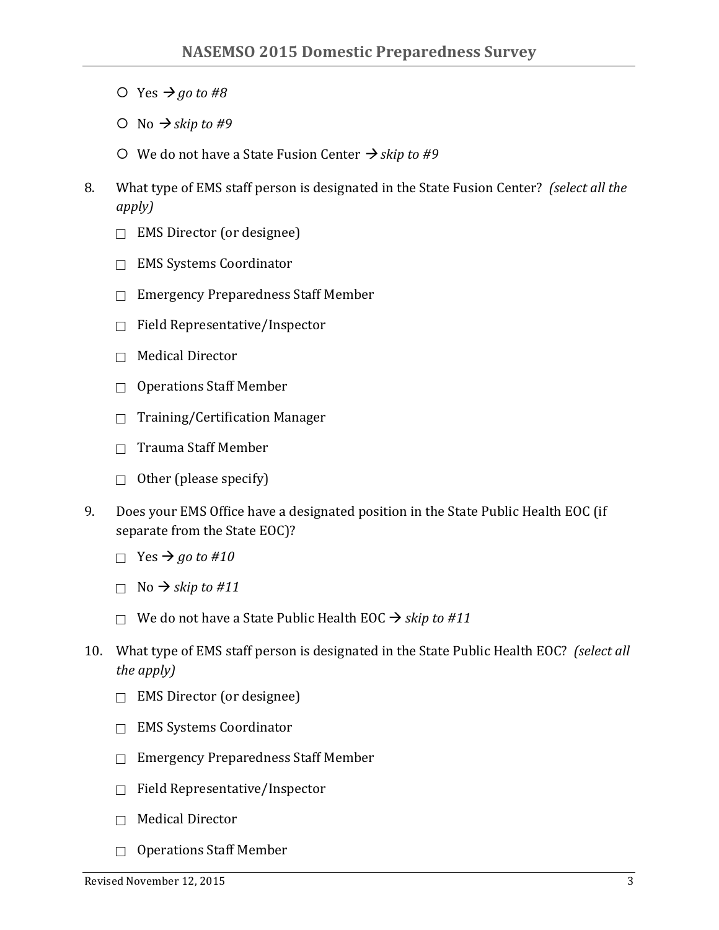- $\bigcirc$  Yes  $\rightarrow$  *go* to #8
- $\bigcirc$  No  $\rightarrow$  *skip* to #9
- $\circ$  We do not have a State Fusion Center  $\rightarrow$  *skip to #9*
- 8. What type of EMS staff person is designated in the State Fusion Center? (select all the *apply)*
	- $\Box$  EMS Director (or designee)
	- $\Box$  EMS Systems Coordinator
	- $\Box$  Emergency Preparedness Staff Member
	- $\Box$  Field Representative/Inspector
	- $\Box$  Medical Director
	- $\Box$  Operations Staff Member
	- $\Box$  Training/Certification Manager
	- $\Box$  Trauma Staff Member
	- $\Box$  Other (please specify)
- 9. Does your EMS Office have a designated position in the State Public Health EOC (if separate from the State EOC)?
	- $\Box$  Yes  $\rightarrow$  *go* to #10
	- $\Box$  No  $\rightarrow$  *skip* to #11
	- □ We do not have a State Public Health EOC  $\rightarrow$  *skip to #11*
- 10. What type of EMS staff person is designated in the State Public Health EOC? (select all *the apply)*
	- $\Box$  EMS Director (or designee)
	- □ EMS Systems Coordinator
	- $\Box$  Emergency Preparedness Staff Member
	- $\Box$  Field Representative/Inspector
	- $\Box$  Medical Director
	- $\Box$  Operations Staff Member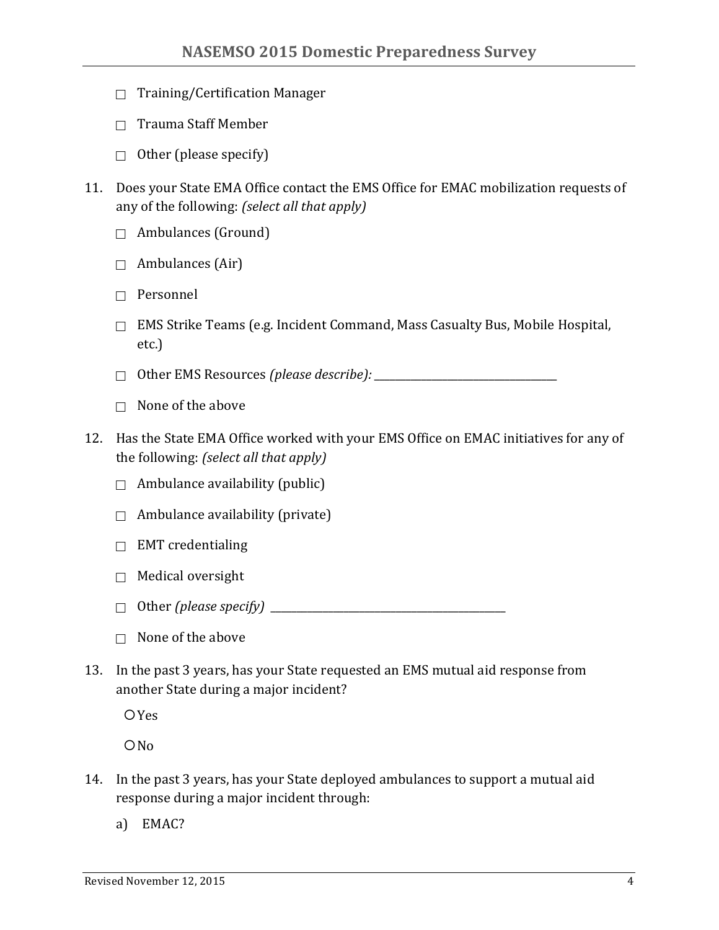- $\Box$  Training/Certification Manager
- $\Box$  Trauma Staff Member
- $\Box$  Other (please specify)
- 11. Does your State EMA Office contact the EMS Office for EMAC mobilization requests of any of the following: *(select all that apply)* 
	- $\Box$  Ambulances (Ground)
	- $\Box$  Ambulances (Air)
	- $\Box$  Personnel
	- $\Box$  EMS Strike Teams (e.g. Incident Command, Mass Casualty Bus, Mobile Hospital, etc.)

! Other EMS Resources *(please describe): \_\_\_\_\_\_\_\_\_\_\_\_\_\_\_\_\_\_\_\_\_\_\_\_\_\_\_\_\_\_\_\_\_\_\_*

- $\Box$  None of the above
- 12. Has the State EMA Office worked with your EMS Office on EMAC initiatives for any of the following: *(select all that apply)* 
	- $\Box$  Ambulance availability (public)
	- $\Box$  Ambulance availability (private)
	- $\Box$  EMT credentialing
	- $\Box$  Medical oversight
	- ! Other *(please specify) \_\_\_\_\_\_\_\_\_\_\_\_\_\_\_\_\_\_\_\_\_\_\_\_\_\_\_\_\_\_\_\_\_\_\_\_\_\_\_\_\_\_\_\_\_*
	- $\Box$  None of the above
- 13. In the past 3 years, has your State requested an EMS mutual aid response from another State during a major incident?

**O**Yes

 $ON<sub>0</sub>$ 

- 14. In the past 3 years, has your State deployed ambulances to support a mutual aid response during a major incident through:
	- a) EMAC?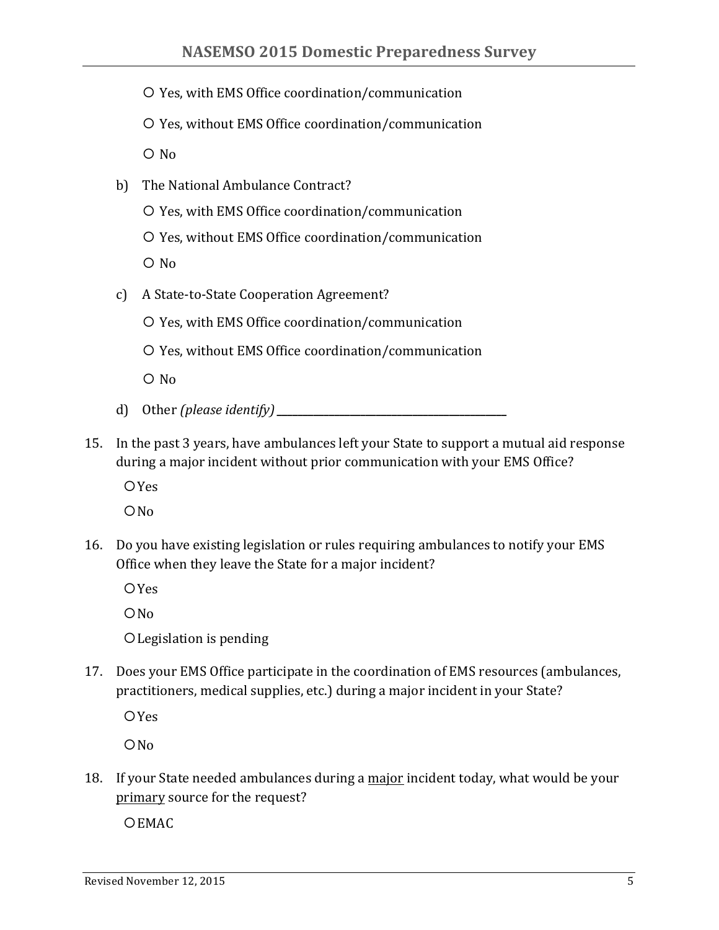- O Yes, with EMS Office coordination/communication
- O Yes, without EMS Office coordination/communication

 $O$  No

- b) The National Ambulance Contract?
	- O Yes, with EMS Office coordination/communication
	- O Yes, without EMS Office coordination/communication

 $O$  No

- c) A State-to-State Cooperation Agreement?
	- O Yes, with EMS Office coordination/communication
	- O Yes, without EMS Office coordination/communication

 $\overline{O}$  No

- d) Other *(please identify)***\_\_\_\_\_\_\_\_\_\_\_\_\_\_\_\_\_\_\_\_\_\_\_\_\_\_\_\_\_\_\_\_\_\_\_\_\_\_\_\_\_\_\_\_**
- 15. In the past 3 years, have ambulances left your State to support a mutual aid response during a major incident without prior communication with your EMS Office?

 $OYes$ 

 $ON<sub>0</sub>$ 

16. Do you have existing legislation or rules requiring ambulances to notify your EMS Office when they leave the State for a major incident?

 $OYes$ 

 $ONO$ 

O Legislation is pending

17. Does your EMS Office participate in the coordination of EMS resources (ambulances, practitioners, medical supplies, etc.) during a major incident in your State?

 $O$  Yes

 $ONO$ 

18. If your State needed ambulances during a major incident today, what would be your primary source for the request?

O EMAC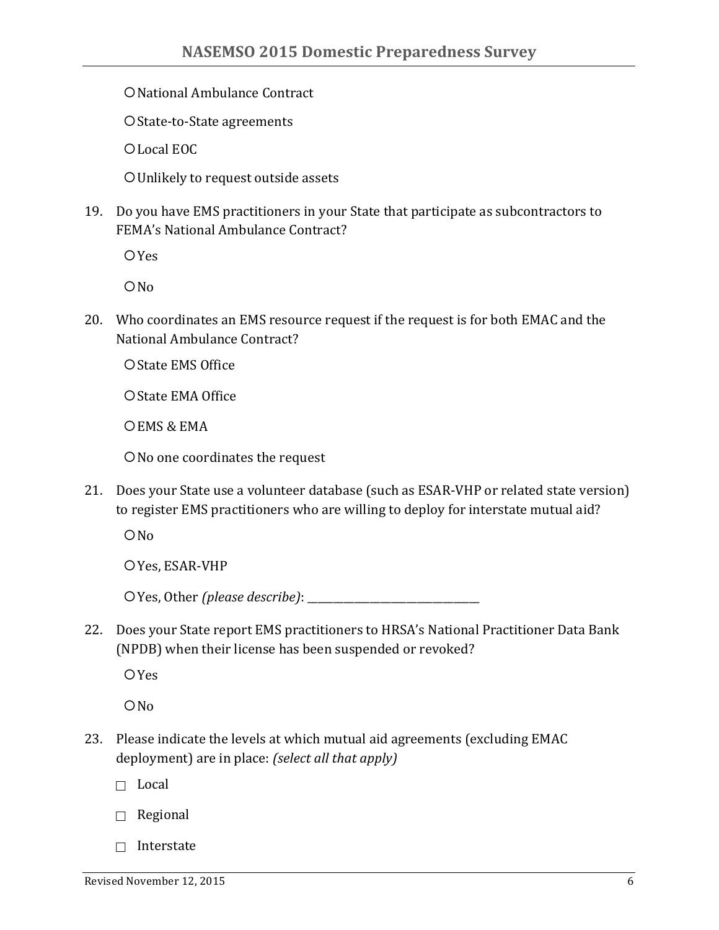O National Ambulance Contract

O State-to-State agreements

O Local EOC

O Unlikely to request outside assets

19. Do you have EMS practitioners in your State that participate as subcontractors to FEMA's National Ambulance Contract?

 $OYes$ 

 $ONO$ 

20. Who coordinates an EMS resource request if the request is for both EMAC and the National Ambulance Contract?

O State EMS Office

O State EMA Office

OEMS & EMA

O No one coordinates the request

21. Does your State use a volunteer database (such as ESAR-VHP or related state version) to register EMS practitioners who are willing to deploy for interstate mutual aid?

 $ON<sub>0</sub>$ 

O Yes, ESAR-VHP

 $\bigcirc$  Yes, Other *(please describe)*:

22. Does your State report EMS practitioners to HRSA's National Practitioner Data Bank (NPDB) when their license has been suspended or revoked?

 $OYes$ 

 $ONO$ 

23. Please indicate the levels at which mutual aid agreements (excluding EMAC deployment) are in place: *(select all that apply)* 

 $\Box$  Local

- $\Box$  Regional
- $\Box$  Interstate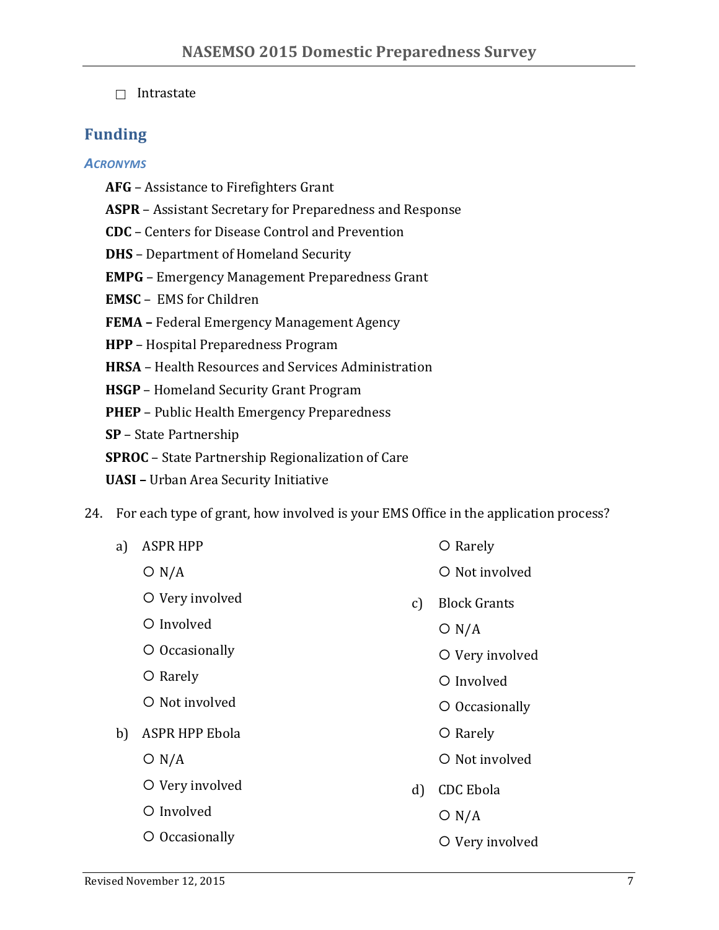$\Box$  Intrastate

# **Funding**

### *ACRONYMS*

- **AFG** Assistance to Firefighters Grant
- **ASPR** Assistant Secretary for Preparedness and Response
- **CDC** Centers for Disease Control and Prevention
- **DHS** Department of Homeland Security
- **EMPG** Emergency Management Preparedness Grant
- **EMSC** EMS for Children
- **FEMA** Federal Emergency Management Agency
- **HPP** Hospital Preparedness Program
- **HRSA** Health Resources and Services Administration
- **HSGP** Homeland Security Grant Program
- **PHEP** Public Health Emergency Preparedness
- **SP** State Partnership
- **SPROC** State Partnership Regionalization of Care
- **UASI** Urban Area Security Initiative
- 24. For each type of grant, how involved is your EMS Office in the application process?

| a) | <b>ASPR HPP</b>       |               | $\circ$ Rarely      |
|----|-----------------------|---------------|---------------------|
|    | O N/A                 |               | O Not involved      |
|    | O Very involved       | $\mathcal{C}$ | <b>Block Grants</b> |
|    | O Involved            |               | O N/A               |
|    | O Occasionally        |               | O Very involved     |
|    | O Rarely              |               | O Involved          |
|    | O Not involved        |               | O Occasionally      |
| b) | <b>ASPR HPP Ebola</b> |               | O Rarely            |
|    | O N/A                 |               | O Not involved      |
|    | O Very involved       | $\mathbf{d}$  | <b>CDC</b> Ebola    |
|    | O Involved            |               | O N/A               |
|    | O Occasionally        |               | O Very involved     |
|    |                       |               |                     |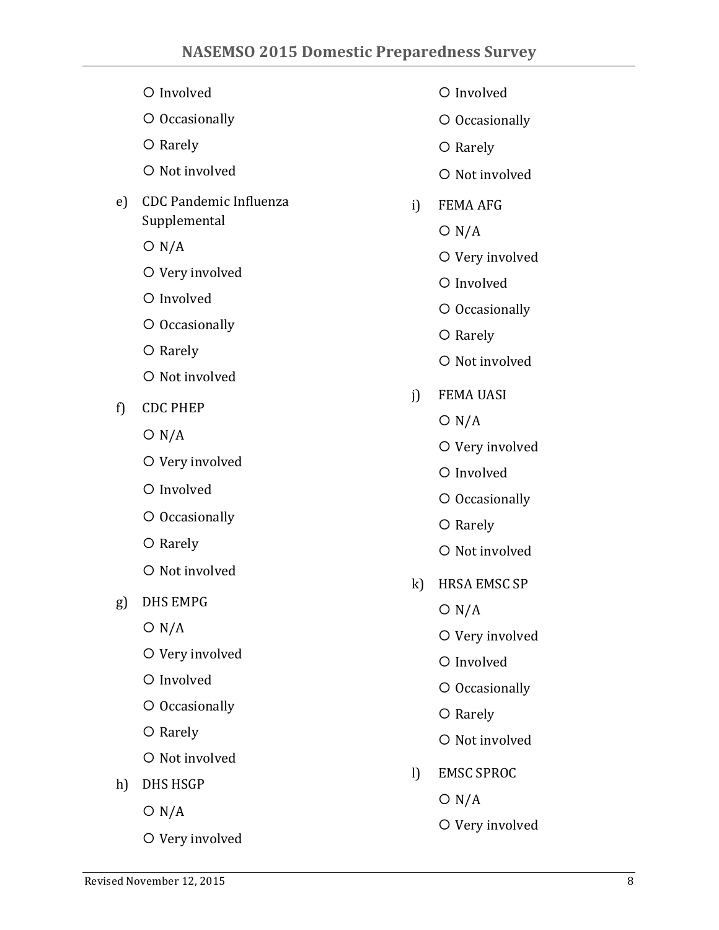- ¡ Involved
- O Occasionally
- O Rarely
- $\bigcirc$  Not involved
- e) CDC Pandemic Influenza Supplemental
	- $O N/A$
	- O Very involved
	- ¡ Involved
	- O Occasionally
	- O Rarely
	- O Not involved
- f) CDC PHEP
	- $O N/A$
	- O Very involved
	- $O$  Involved
	- O Occasionally
	- O Rarely
	- $\bigcirc$  Not involved
- g) DHS EMPG
	- $O N/A$
	- O Very involved
	- O Involved
	- O Occasionally
	- O Rarely
	- $\circ$  Not involved
- h) DHS HSGP
	- $O N/A$
	- O Very involved
- ¡ Involved
- O Occasionally
- O Rarely
- O Not involved
- i) FEMA AFG
	- $O N/A$
	- O Very involved
	- $\bigcirc$  Involved
	- O Occasionally
	- O Rarely
	- O Not involved
- j) FEMA UASI
	- $O N/A$
	- O Very involved
	- $O$  Involved
	- O Occasionally
	- O Rarely
	- $\circ$  Not involved
- k) HRSA EMSC SP
	- $O N/A$
	- O Very involved
	- O Involved
	- O Occasionally
	- O Rarely
	- $\circ$  Not involved
- l) EMSC SPROC
	- $O N/A$
	- O Very involved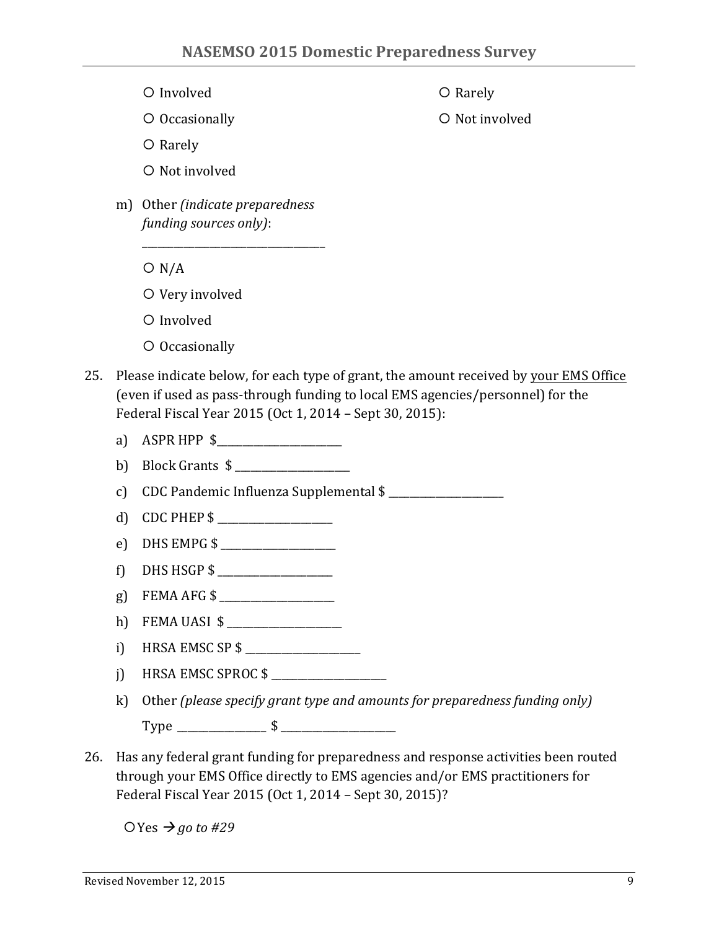- $O$  Involved
- O Occasionally

O Rarely

O Not involved

- O Rarely
- O Not involved
- m) Other *(indicate preparedness funding sources only)*:

\_\_\_\_\_\_\_\_\_\_\_\_\_\_\_\_\_\_\_\_\_\_\_\_\_\_\_\_\_\_\_\_\_\_\_

- $O N/A$
- O Very involved
- $O$  Involved
- $\circ$  Occasionally
- 25. Please indicate below, for each type of grant, the amount received by your EMS Office (even if used as pass-through funding to local EMS agencies/personnel) for the Federal Fiscal Year 2015 (Oct 1, 2014 – Sept 30, 2015):
	- a) ASPR HPP  $$$
	- b) Block Grants  $\frac{1}{2}$
	- c) CDC Pandemic Influenza Supplemental \$
	- d) CDC PHEP  $\hat{\mathbf{s}}$
	- e) DHS EMPG  $$$
	- f) DHS HSGP  $\$$
	- g) FEMA AFG \$ \_\_\_\_\_\_\_\_\_\_\_\_\_\_\_\_\_\_\_\_\_\_
	- h) FEMA UASI \$ \_\_\_\_\_\_\_\_\_\_\_\_\_\_\_\_\_\_\_\_\_\_
	- i) HRSA EMSC SP  $$$
	- j) HRSA EMSC SPROC  $\frac{1}{2}$
	- k) Other *(please specify grant type and amounts for preparedness funding only)* Type \_\_\_\_\_\_\_\_\_\_\_\_\_\_\_\_\_ \$ \_\_\_\_\_\_\_\_\_\_\_\_\_\_\_\_\_\_\_\_\_\_
- 26. Has any federal grant funding for preparedness and response activities been routed through your EMS Office directly to EMS agencies and/or EMS practitioners for Federal Fiscal Year 2015 (Oct 1, 2014 - Sept 30, 2015)?

 $OYes \rightarrow go to #29$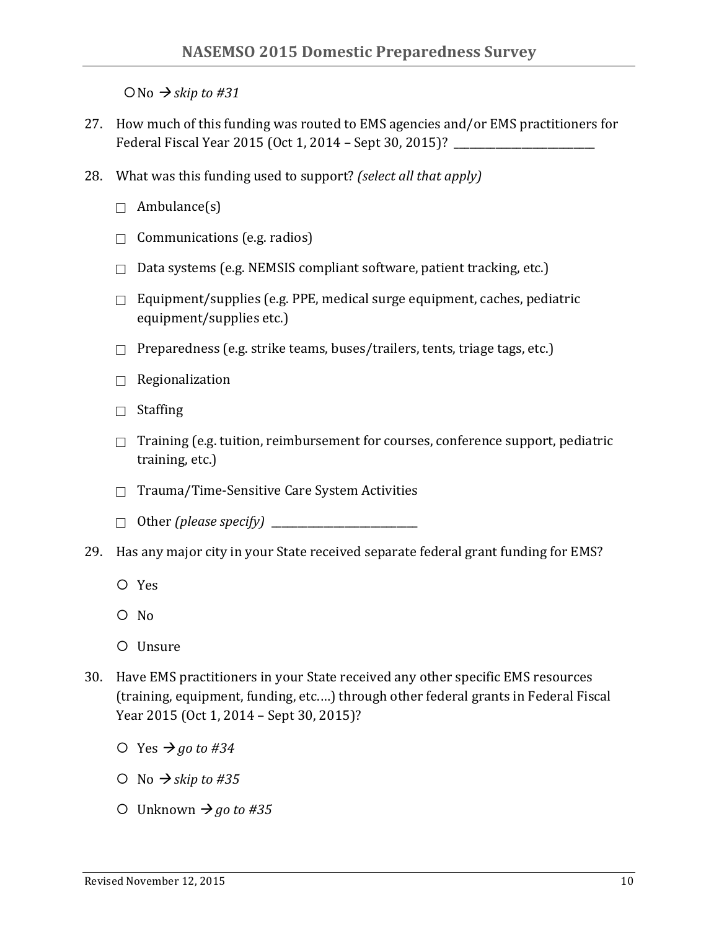$\bigcirc$  No  $\rightarrow$  *skip to #31* 

- 27. How much of this funding was routed to EMS agencies and/or EMS practitioners for Federal Fiscal Year 2015 (Oct 1, 2014 – Sept 30, 2015)?
- 28. What was this funding used to support? *(select all that apply)* 
	- $\Box$  Ambulance(s)
	- $\Box$  Communications (e.g. radios)
	- $\Box$  Data systems (e.g. NEMSIS compliant software, patient tracking, etc.)
	- $\Box$  Equipment/supplies (e.g. PPE, medical surge equipment, caches, pediatric equipment/supplies etc.)
	- $\Box$  Preparedness (e.g. strike teams, buses/trailers, tents, triage tags, etc.)
	- $\Box$  Regionalization
	- $\Box$  Staffing
	- $\Box$  Training (e.g. tuition, reimbursement for courses, conference support, pediatric training, etc.)
	- $\Box$  Trauma/Time-Sensitive Care System Activities
	- ! Other *(please specify)* \_\_\_\_\_\_\_\_\_\_\_\_\_\_\_\_\_\_\_\_\_\_\_\_\_\_\_\_
- 29. Has any major city in your State received separate federal grant funding for EMS?
	- ¡ Yes
	- $O$  No
	- O Unsure
- 30. Have EMS practitioners in your State received any other specific EMS resources (training, equipment, funding, etc....) through other federal grants in Federal Fiscal Year 2015 (Oct 1, 2014 - Sept 30, 2015)?
	- $\circ$  Yes  $\rightarrow$  *go* to #34
	- $\bigcirc$  No  $\rightarrow$  *skip to #35*
	- $\bigcirc$  Unknown  $\bigcirc$  *go to #35*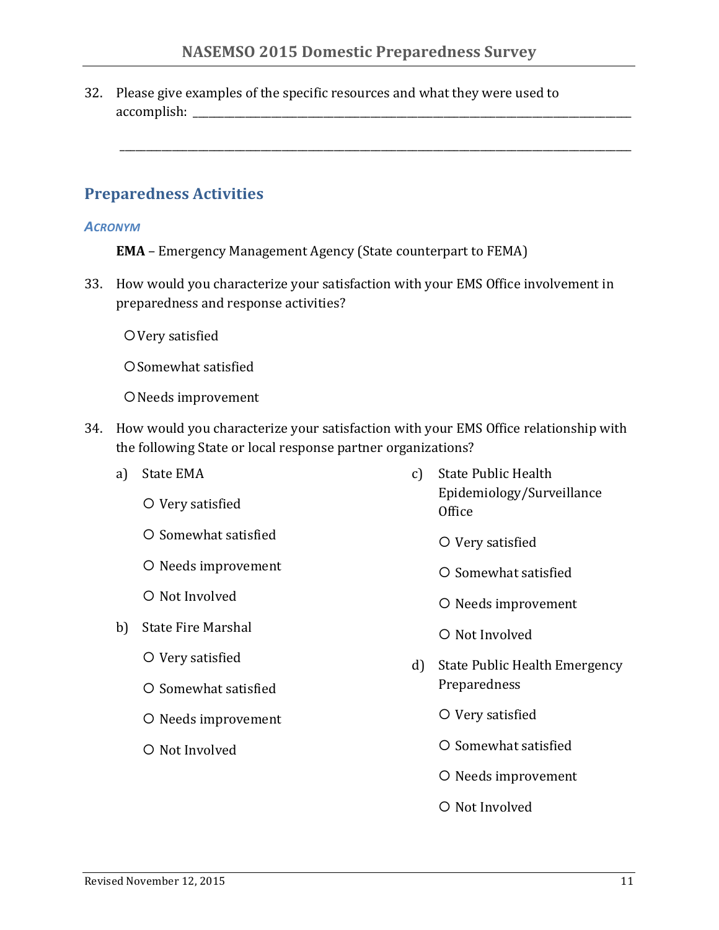\_\_\_\_\_\_\_\_\_\_\_\_\_\_\_\_\_\_\_\_\_\_\_\_\_\_\_\_\_\_\_\_\_\_\_\_\_\_\_\_\_\_\_\_\_\_\_\_\_\_\_\_\_\_\_\_\_\_\_\_\_\_\_\_\_\_\_\_\_\_\_\_\_\_\_\_\_\_\_\_\_\_\_\_\_\_\_\_\_\_\_\_\_\_\_\_\_\_

32. Please give examples of the specific resources and what they were used to accomplish:

## **Preparedness Activities**

#### *ACRONYM*

- **EMA** Emergency Management Agency (State counterpart to FEMA)
- 33. How would you characterize your satisfaction with your EMS Office involvement in preparedness and response activities?
	- O Very satisfied
	- O Somewhat satisfied
	- O Needs improvement
- 34. How would you characterize your satisfaction with your EMS Office relationship with the following State or local response partner organizations?
	- a) State EMA
		- O Very satisfied
		- $\circ$  Somewhat satisfied
		- O Needs improvement
		- $\bigcirc$  Not Involved
	- b) State Fire Marshal
		- O Very satisfied
		- ¡ Somewhat satisfied
		- O Needs improvement
		- $\bigcirc$  Not Involved
- c) State Public Health Epidemiology/Surveillance **Office** 
	- O Very satisfied
	- $\circ$  Somewhat satisfied
	- O Needs improvement
	- $\bigcirc$  Not Involved
- d) State Public Health Emergency Preparedness
	- O Very satisfied
	- $\circ$  Somewhat satisfied
	- O Needs improvement
	- $\bigcirc$  Not Involved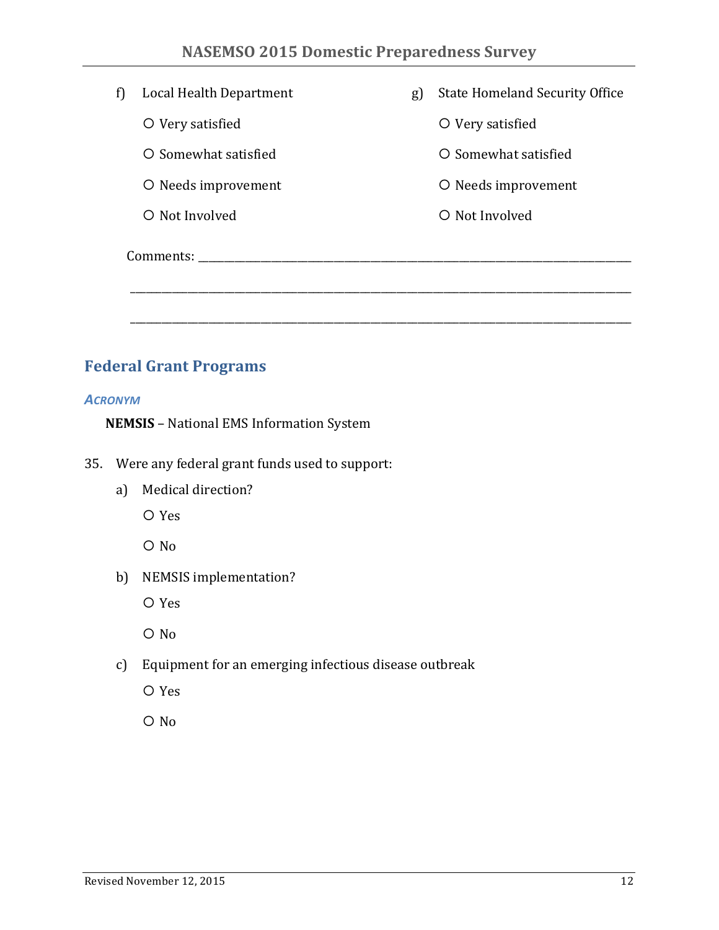| f) | Local Health Department | g) | <b>State Homeland Security Office</b> |  |  |  |
|----|-------------------------|----|---------------------------------------|--|--|--|
|    | O Very satisfied        |    | O Very satisfied                      |  |  |  |
|    | O Somewhat satisfied    |    | O Somewhat satisfied                  |  |  |  |
|    | O Needs improvement     |    | O Needs improvement                   |  |  |  |
|    | O Not Involved          |    | O Not Involved                        |  |  |  |
|    | Comments:               |    |                                       |  |  |  |
|    |                         |    |                                       |  |  |  |
|    |                         |    |                                       |  |  |  |

# **Federal Grant Programs**

#### *ACRONYM*

**NEMSIS** - National EMS Information System

- 35. Were any federal grant funds used to support:
	- a) Medical direction?

¡ Yes

 $O$  No

b) NEMSIS implementation?

¡ Yes

 $O$  No

c) Equipment for an emerging infectious disease outbreak

¡ Yes

 $O$  No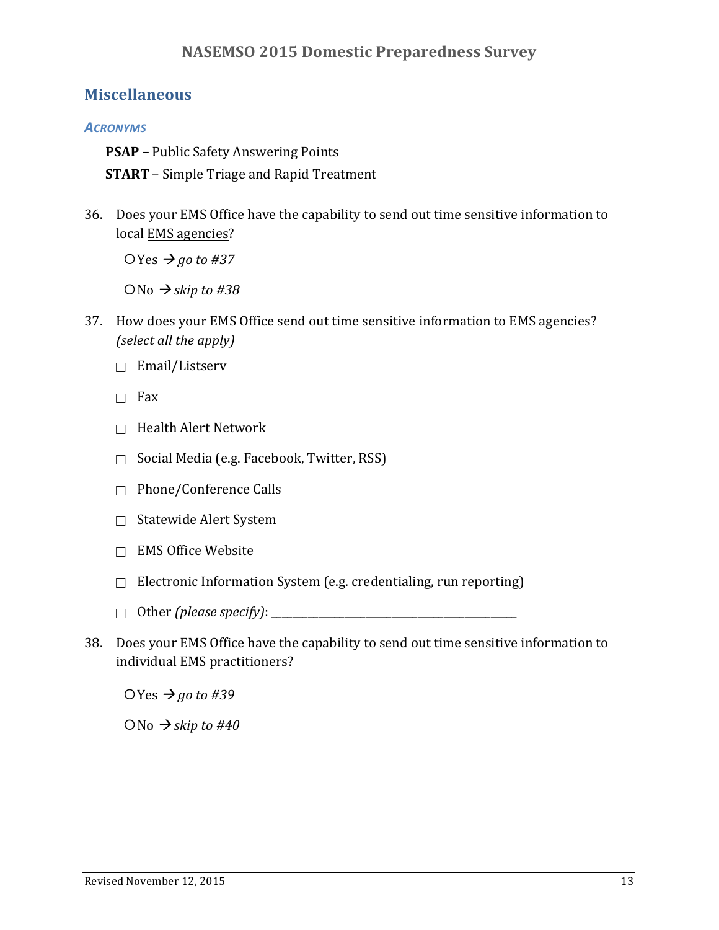### **Miscellaneous**

### *ACRONYMS*

**PSAP** – Public Safety Answering Points

**START** – Simple Triage and Rapid Treatment

36. Does your EMS Office have the capability to send out time sensitive information to local EMS agencies?

 $OYes \rightarrow go to #37$ 

 $ONo \rightarrow$ *skip* to #38

- 37. How does your EMS Office send out time sensitive information to EMS agencies? *(select all the apply)* 
	- $\Box$  Email/Listserv
	- $\Box$  Fax
	- $\Box$  Health Alert Network
	- $\Box$  Social Media (e.g. Facebook, Twitter, RSS)
	- $\Box$  Phone/Conference Calls
	- $\Box$  Statewide Alert System
	- $\Box$  EMS Office Website
	- $\Box$  Electronic Information System (e.g. credentialing, run reporting)
	- $\Box$  Other (please specify):  $\Box$
- 38. Does your EMS Office have the capability to send out time sensitive information to individual EMS practitioners?

 $OYes \rightarrow go to #39$ 

 $ONo \rightarrow$ *skip* to #40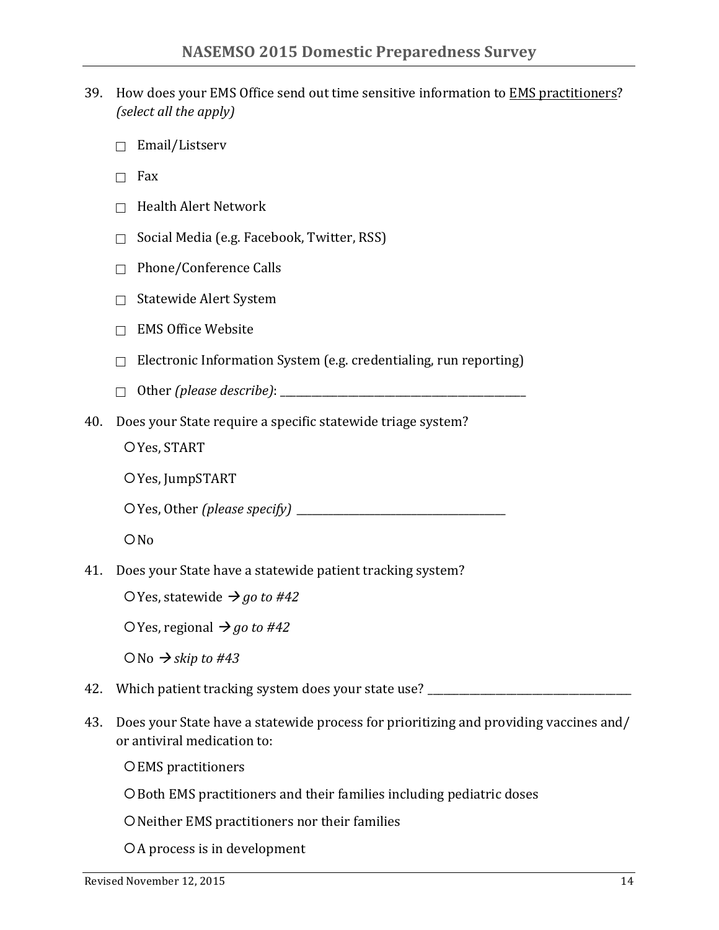- 39. How does your EMS Office send out time sensitive information to EMS practitioners? *(select all the apply)* 
	- $\Box$  Email/Listserv
	- $\Box$  Fax
	- $\Box$  Health Alert Network
	- $\Box$  Social Media (e.g. Facebook, Twitter, RSS)
	- $\Box$  Phone/Conference Calls
	- $\Box$  Statewide Alert System
	- $\Box$  EMS Office Website
	- $\Box$  Electronic Information System (e.g. credentialing, run reporting)
	- ! Other *(please describe)*: \_\_\_\_\_\_\_\_\_\_\_\_\_\_\_\_\_\_\_\_\_\_\_\_\_\_\_\_\_\_\_\_\_\_\_\_\_\_\_\_\_\_\_\_\_\_\_
- 40. Does your State require a specific statewide triage system?
	- O Yes, START
	- O Yes, JumpSTART
	- ¡Yes, Other *(please specify) \_\_\_\_\_\_\_\_\_\_\_\_\_\_\_\_\_\_\_\_\_\_\_\_\_\_\_\_\_\_\_\_\_\_\_\_\_\_\_\_*

 $ONO$ 

- 41. Does your State have a statewide patient tracking system?
	- $\bigcirc$  Yes, statewide  $\bigrightarrow$  *go to #42*
	- $\bigcirc$  Yes, regional  $\bigcirc$  *go to #42*
	- $ONo \rightarrow$ *skip* to #43
- 42. Which patient tracking system does your state use? \_\_\_\_\_\_\_\_\_\_\_\_\_\_\_\_\_\_\_\_\_\_\_\_\_
- 43. Does your State have a statewide process for prioritizing and providing vaccines and/ or antiviral medication to:
	- O EMS practitioners
	- O Both EMS practitioners and their families including pediatric doses
	- O Neither EMS practitioners nor their families
	- OA process is in development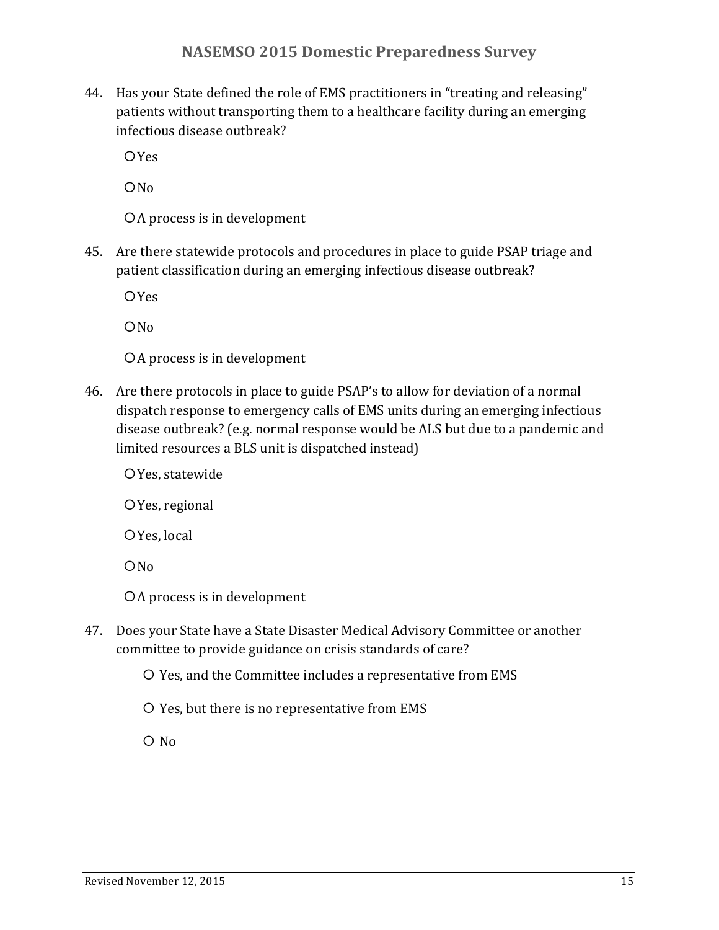44. Has your State defined the role of EMS practitioners in "treating and releasing" patients without transporting them to a healthcare facility during an emerging infectious disease outbreak?

**O**Yes

 $ONO$ 

OA process is in development

45. Are there statewide protocols and procedures in place to guide PSAP triage and patient classification during an emerging infectious disease outbreak?

**O**Yes

 $ON<sub>0</sub>$ 

OA process is in development

- 46. Are there protocols in place to guide PSAP's to allow for deviation of a normal dispatch response to emergency calls of EMS units during an emerging infectious disease outbreak? (e.g. normal response would be ALS but due to a pandemic and limited resources a BLS unit is dispatched instead)
	- O Yes, statewide
	- O Yes, regional
	- O Yes, local
	- $ON<sub>0</sub>$
	- OA process is in development
- 47. Does your State have a State Disaster Medical Advisory Committee or another committee to provide guidance on crisis standards of care?
	- $\overline{O}$  Yes, and the Committee includes a representative from EMS
	- O Yes, but there is no representative from EMS

 $\overline{O}$  No